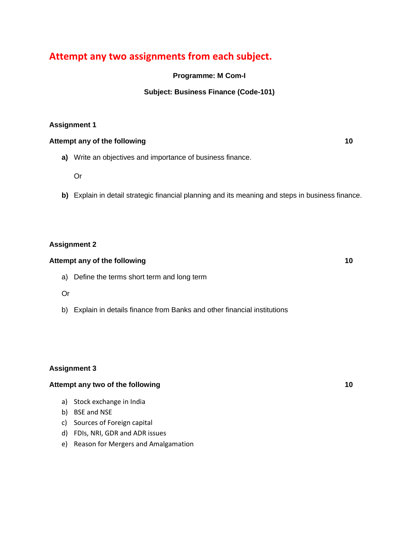# **Attempt any two assignments from each subject.**

**Programme: M Com-I**

## **Subject: Business Finance (Code-101)**

## **Assignment 1**

#### **Attempt any of the following 10**

**a)** Write an objectives and importance of business finance.

Or

**b)** Explain in detail strategic financial planning and its meaning and steps in business finance.

## **Assignment 2**

#### **Attempt any of the following 10**

a) Define the terms short term and long term

Or

b) Explain in details finance from Banks and other financial institutions

## **Assignment 3**

## **Attempt any two of the following 10**

- a) Stock exchange in India
- b) BSE and NSE
- c) Sources of Foreign capital
- d) FDIs, NRI, GDR and ADR issues
- e) Reason for Mergers and Amalgamation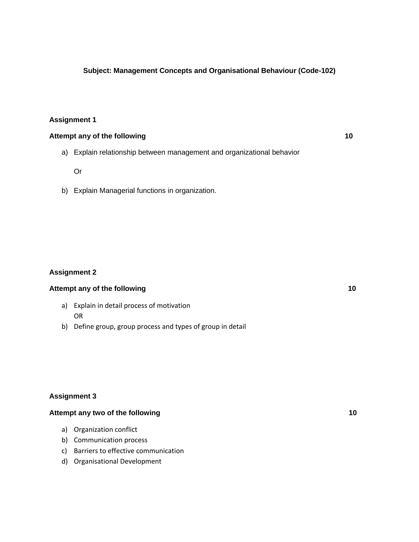## **Subject: Management Concepts and Organisational Behaviour (Code-102)**

#### **Assignment 1**

## **Attempt any of the following 10**

a) Explain relationship between management and organizational behavior

Or

b) Explain Managerial functions in organization.

#### **Assignment 2**

#### Attempt any of the following **10**

- a) Explain in detail process of motivation OR
- b) Define group, group process and types of group in detail

## **Assignment 3**

## Attempt any two of the following 10

- a) Organization conflict
- b) Communication process
- c) Barriers to effective communication
- d) Organisational Development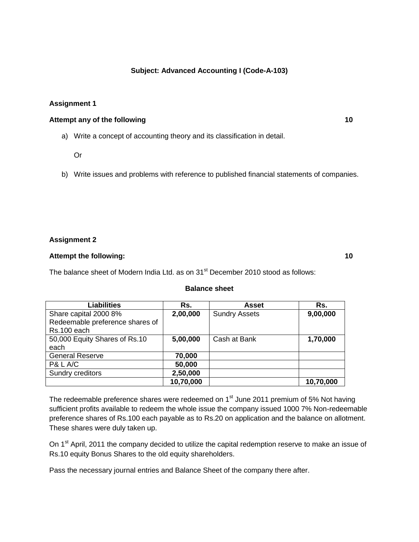## **Subject: Advanced Accounting I (Code-A-103)**

## **Assignment 1**

#### **Attempt any of the following 10**

a) Write a concept of accounting theory and its classification in detail.

- Or
- b) Write issues and problems with reference to published financial statements of companies.

#### **Assignment 2**

## **Attempt the following: 10**

The balance sheet of Modern India Ltd. as on 31<sup>st</sup> December 2010 stood as follows:

#### **Balance sheet**

| Liabilities                     | Rs.       | <b>Asset</b>         | Rs.       |
|---------------------------------|-----------|----------------------|-----------|
| Share capital 2000 8%           | 2,00,000  | <b>Sundry Assets</b> | 9,00,000  |
| Redeemable preference shares of |           |                      |           |
| Rs.100 each                     |           |                      |           |
| 50,000 Equity Shares of Rs.10   | 5,00,000  | Cash at Bank         | 1,70,000  |
| each                            |           |                      |           |
| <b>General Reserve</b>          | 70,000    |                      |           |
| P& L A/C                        | 50,000    |                      |           |
| Sundry creditors                | 2,50,000  |                      |           |
|                                 | 10,70,000 |                      | 10,70,000 |

The redeemable preference shares were redeemed on  $1<sup>st</sup>$  June 2011 premium of 5% Not having sufficient profits available to redeem the whole issue the company issued 1000 7% Non-redeemable preference shares of Rs.100 each payable as to Rs.20 on application and the balance on allotment. These shares were duly taken up.

On 1<sup>st</sup> April, 2011 the company decided to utilize the capital redemption reserve to make an issue of Rs.10 equity Bonus Shares to the old equity shareholders.

Pass the necessary journal entries and Balance Sheet of the company there after.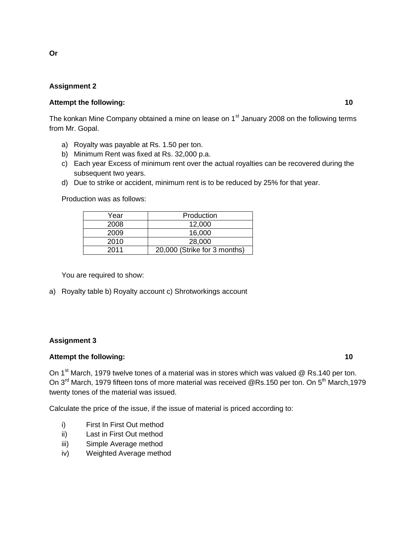## **Assignment 2**

## **Attempt the following: 10**

The konkan Mine Company obtained a mine on lease on 1<sup>st</sup> January 2008 on the following terms from Mr. Gopal.

- a) Royalty was payable at Rs. 1.50 per ton.
- b) Minimum Rent was fixed at Rs. 32,000 p.a.
- c) Each year Excess of minimum rent over the actual royalties can be recovered during the subsequent two years.
- d) Due to strike or accident, minimum rent is to be reduced by 25% for that year.

Production was as follows:

| Year | Production                   |  |
|------|------------------------------|--|
| 2008 | 12.000                       |  |
| 2009 | 16.000                       |  |
| 2010 | 28,000                       |  |
| 2011 | 20,000 (Strike for 3 months) |  |

You are required to show:

a) Royalty table b) Royalty account c) Shrotworkings account

#### **Assignment 3**

#### **Attempt the following: 10**

On 1<sup>st</sup> March, 1979 twelve tones of a material was in stores which was valued @ Rs.140 per ton. On 3<sup>rd</sup> March, 1979 fifteen tons of more material was received @Rs.150 per ton. On 5<sup>th</sup> March,1979 twenty tones of the material was issued.

Calculate the price of the issue, if the issue of material is priced according to:

- i) First In First Out method
- ii) Last in First Out method
- iii) Simple Average method
- iv) Weighted Average method

**Or**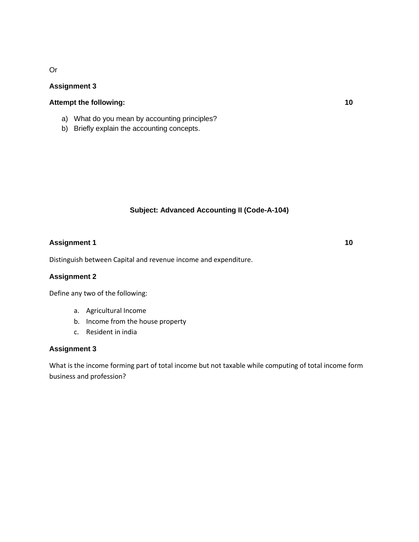# Or

## **Assignment 3**

## **Attempt the following: 10**

- a) What do you mean by accounting principles?
- b) Briefly explain the accounting concepts.

## **Subject: Advanced Accounting II (Code-A-104)**

## **Assignment 1 10**

Distinguish between Capital and revenue income and expenditure.

#### **Assignment 2**

Define any two of the following:

- a. Agricultural Income
- b. Income from the house property
- c. Resident in india

## **Assignment 3**

What is the income forming part of total income but not taxable while computing of total income form business and profession?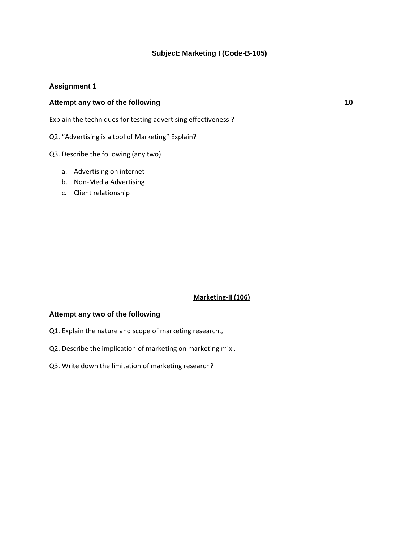## **Subject: Marketing I (Code-B-105)**

#### **Assignment 1**

## **Attempt any two of the following 10**

Explain the techniques for testing advertising effectiveness ?

Q2. "Advertising is a tool of Marketing" Explain?

Q3. Describe the following (any two)

- a. Advertising on internet
- b. Non-Media Advertising
- c. Client relationship

#### **Marketing-II (106)**

#### **Attempt any two of the following**

- Q1. Explain the nature and scope of marketing research.,
- Q2. Describe the implication of marketing on marketing mix .
- Q3. Write down the limitation of marketing research?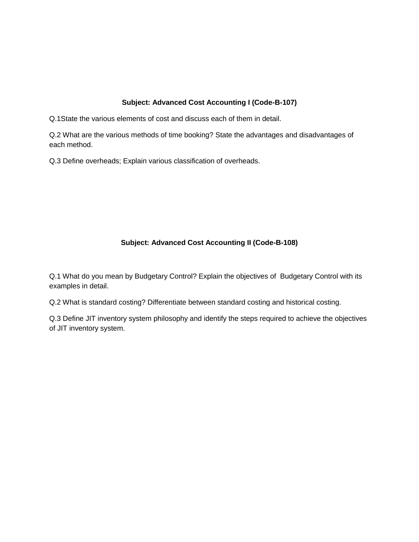## **Subject: Advanced Cost Accounting I (Code-B-107)**

Q.1State the various elements of cost and discuss each of them in detail.

Q.2 What are the various methods of time booking? State the advantages and disadvantages of each method.

Q.3 Define overheads; Explain various classification of overheads.

# **Subject: Advanced Cost Accounting II (Code-B-108)**

Q.1 What do you mean by Budgetary Control? Explain the objectives of Budgetary Control with its examples in detail.

Q.2 What is standard costing? Differentiate between standard costing and historical costing.

Q.3 Define JIT inventory system philosophy and identify the steps required to achieve the objectives of JIT inventory system.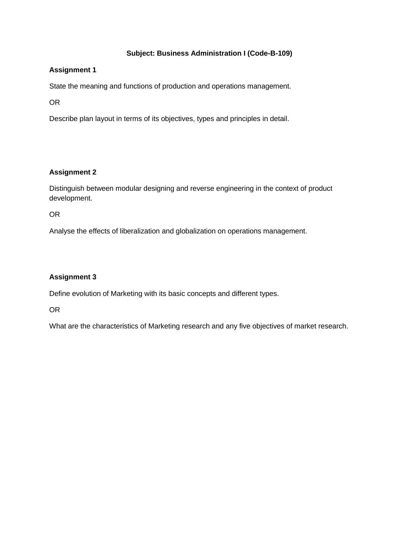# **Subject: Business Administration I (Code-B-109)**

## **Assignment 1**

State the meaning and functions of production and operations management.

OR

Describe plan layout in terms of its objectives, types and principles in detail.

# **Assignment 2**

Distinguish between modular designing and reverse engineering in the context of product development.

OR

Analyse the effects of liberalization and globalization on operations management.

# **Assignment 3**

Define evolution of Marketing with its basic concepts and different types.

OR

What are the characteristics of Marketing research and any five objectives of market research.